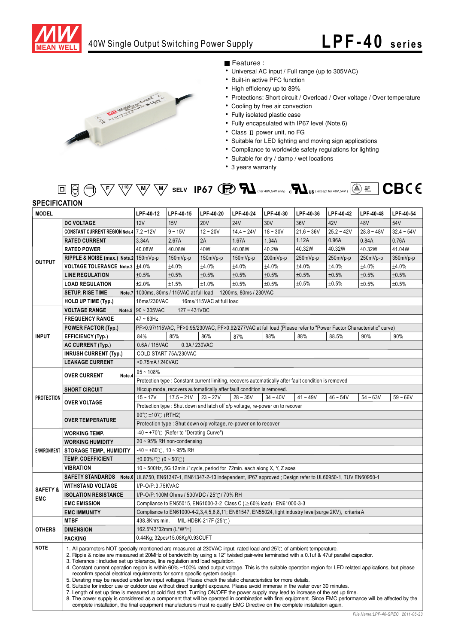

## 40W Single Output Switching Power Supply

# **LPF-40 seri es**



### Features :

- Universal AC input / Full range (up to 305VAC)
- Built-in active PFC function
- High efficiency up to 89%
- Protections: Short circuit / Overload / Over voltage / Over temperature
- Cooling by free air convection
- Fully isolated plastic case
- Fully encapsulated with IP67 level (Note.6)
- $\bullet$  Class II power unit, no FG
- Suitable for LED lighting and moving sign applications
- Compliance to worldwide safety regulations for lighting
- Suitable for dry / damp / wet locations
- 3 years warranty

| $\text{Tr}\left(\mathbb{G}\oplus\mathbb{G}\right)$ $\text{Tr}\left(\mathbb{V}\right)$ $\text{Tr}\left(\mathbb{W}\right)$ selv [P67 $\text{Tr}\left(\mathbb{G}\right)$ $\text{Tr}\left(\text{Tr}\left\{S\right\}\right)$ $\text{Tr}\left(\mathbb{G}\right)$ $\text{Tr}\left(\text{Tr}\left\{S\right\}\right)$ $\text{Tr}\left(\mathbb{G}\right)$ $\text{Tr}\left(\mathbb{G}\right)$ $\text{Tr}\left(\mathbb{G}\right)$ $\text{Tr}\left(\mathbb{G}\right)$ $\$ |  |  |  |  |  |  |  |  |  |
|--------------------------------------------------------------------------------------------------------------------------------------------------------------------------------------------------------------------------------------------------------------------------------------------------------------------------------------------------------------------------------------------------------------------------------------------------------------|--|--|--|--|--|--|--|--|--|
| <b>SPECIFICATION</b>                                                                                                                                                                                                                                                                                                                                                                                                                                         |  |  |  |  |  |  |  |  |  |

| <b>MODEL</b>           |                                                                                                                                                                                                                                                                                                                                                                                                                                                                                                                                                                                                                                                                                                                                                                                                                                                                                                                                                                                                                                                                                                                                                                                                                                                                                     | LPF-40-12                                                                                                                                                                     | LPF-40-15                                                                                                   | LPF-40-20   | LPF-40-24    | LPF-40-30  | LPF-40-36    | LPF-40-42    | LPF-40-48    | LPF-40-54    |  |  |
|------------------------|-------------------------------------------------------------------------------------------------------------------------------------------------------------------------------------------------------------------------------------------------------------------------------------------------------------------------------------------------------------------------------------------------------------------------------------------------------------------------------------------------------------------------------------------------------------------------------------------------------------------------------------------------------------------------------------------------------------------------------------------------------------------------------------------------------------------------------------------------------------------------------------------------------------------------------------------------------------------------------------------------------------------------------------------------------------------------------------------------------------------------------------------------------------------------------------------------------------------------------------------------------------------------------------|-------------------------------------------------------------------------------------------------------------------------------------------------------------------------------|-------------------------------------------------------------------------------------------------------------|-------------|--------------|------------|--------------|--------------|--------------|--------------|--|--|
| <b>DC VOLTAGE</b>      |                                                                                                                                                                                                                                                                                                                                                                                                                                                                                                                                                                                                                                                                                                                                                                                                                                                                                                                                                                                                                                                                                                                                                                                                                                                                                     | 12V                                                                                                                                                                           | 15V                                                                                                         | <b>20V</b>  | <b>24V</b>   | 30V        | 36V          | 42V          | 48V          | 54V          |  |  |
|                        | CONSTANT CURRENT REGION Note.4 7.2~12V                                                                                                                                                                                                                                                                                                                                                                                                                                                                                                                                                                                                                                                                                                                                                                                                                                                                                                                                                                                                                                                                                                                                                                                                                                              |                                                                                                                                                                               | $9 - 15V$                                                                                                   | $12 - 20V$  | $14.4 - 24V$ | $18 - 30V$ | $21.6 - 36V$ | $25.2 - 42V$ | $28.8 - 48V$ | $32.4 - 54V$ |  |  |
| <b>OUTPUT</b>          | <b>RATED CURRENT</b>                                                                                                                                                                                                                                                                                                                                                                                                                                                                                                                                                                                                                                                                                                                                                                                                                                                                                                                                                                                                                                                                                                                                                                                                                                                                | 3.34A                                                                                                                                                                         | 2.67A                                                                                                       | 2A          | 1.67A        | 1.34A      | 1.12A        | 0.96A        | 0.84A        | 0.76A        |  |  |
|                        | <b>RATED POWER</b>                                                                                                                                                                                                                                                                                                                                                                                                                                                                                                                                                                                                                                                                                                                                                                                                                                                                                                                                                                                                                                                                                                                                                                                                                                                                  | 40.08W                                                                                                                                                                        | 40.08W                                                                                                      | 40W         | 40.08W       | 40.2W      | 40.32W       | 40.32W       | 40.32W       | 41.04W       |  |  |
|                        | RIPPLE & NOISE (max.) Note.2 150mVp-p                                                                                                                                                                                                                                                                                                                                                                                                                                                                                                                                                                                                                                                                                                                                                                                                                                                                                                                                                                                                                                                                                                                                                                                                                                               |                                                                                                                                                                               | 150mVp-p                                                                                                    | 150mVp-p    | 150mVp-p     | 200mVp-p   | 250mVp-p     | 250mVp-p     | 250mVp-p     | 350mVp-p     |  |  |
|                        | VOLTAGE TOLERANCE Note.3   ±4.0%                                                                                                                                                                                                                                                                                                                                                                                                                                                                                                                                                                                                                                                                                                                                                                                                                                                                                                                                                                                                                                                                                                                                                                                                                                                    |                                                                                                                                                                               | ±4.0%                                                                                                       | ±4.0%       | ±4.0%        | ±4.0%      | ±4.0%        | ±4.0%        | ±4.0%        | ±4.0%        |  |  |
|                        | <b>LINE REGULATION</b>                                                                                                                                                                                                                                                                                                                                                                                                                                                                                                                                                                                                                                                                                                                                                                                                                                                                                                                                                                                                                                                                                                                                                                                                                                                              | ±0.5%                                                                                                                                                                         | ±0.5%                                                                                                       | ±0.5%       | ±0.5%        | ±0.5%      | ±0.5%        | ±0.5%        | ±0.5%        | ±0.5%        |  |  |
|                        | <b>LOAD REGULATION</b>                                                                                                                                                                                                                                                                                                                                                                                                                                                                                                                                                                                                                                                                                                                                                                                                                                                                                                                                                                                                                                                                                                                                                                                                                                                              | ±2.0%                                                                                                                                                                         | $\pm 1.5\%$                                                                                                 | ±1.0%       | ±0.5%        | ±0.5%      | ±0.5%        | ±0.5%        | ±0.5%        | ±0.5%        |  |  |
|                        | <b>SETUP, RISE TIME</b>                                                                                                                                                                                                                                                                                                                                                                                                                                                                                                                                                                                                                                                                                                                                                                                                                                                                                                                                                                                                                                                                                                                                                                                                                                                             | Note.7 1000ms, 80ms / 115VAC at full load<br>1200ms, 80ms / 230VAC                                                                                                            |                                                                                                             |             |              |            |              |              |              |              |  |  |
|                        | <b>HOLD UP TIME (Typ.)</b>                                                                                                                                                                                                                                                                                                                                                                                                                                                                                                                                                                                                                                                                                                                                                                                                                                                                                                                                                                                                                                                                                                                                                                                                                                                          | 16ms/230VAC<br>16ms/115VAC at full load                                                                                                                                       |                                                                                                             |             |              |            |              |              |              |              |  |  |
|                        | <b>VOLTAGE RANGE</b>                                                                                                                                                                                                                                                                                                                                                                                                                                                                                                                                                                                                                                                                                                                                                                                                                                                                                                                                                                                                                                                                                                                                                                                                                                                                | Note.5 $90 \sim 305$ VAC<br>$127 - 431VDC$                                                                                                                                    |                                                                                                             |             |              |            |              |              |              |              |  |  |
| <b>FREQUENCY RANGE</b> |                                                                                                                                                                                                                                                                                                                                                                                                                                                                                                                                                                                                                                                                                                                                                                                                                                                                                                                                                                                                                                                                                                                                                                                                                                                                                     | $47 - 63$ Hz                                                                                                                                                                  |                                                                                                             |             |              |            |              |              |              |              |  |  |
| <b>INPUT</b>           | <b>POWER FACTOR (Typ.)</b>                                                                                                                                                                                                                                                                                                                                                                                                                                                                                                                                                                                                                                                                                                                                                                                                                                                                                                                                                                                                                                                                                                                                                                                                                                                          | PF>0.97/115VAC, PF>0.95/230VAC, PF>0.92/277VAC at full load (Please refer to "Power Factor Characteristic" curve)                                                             |                                                                                                             |             |              |            |              |              |              |              |  |  |
|                        | <b>EFFICIENCY (Typ.)</b>                                                                                                                                                                                                                                                                                                                                                                                                                                                                                                                                                                                                                                                                                                                                                                                                                                                                                                                                                                                                                                                                                                                                                                                                                                                            | 84%                                                                                                                                                                           | 85%                                                                                                         | 86%         | 87%          | 88%        | 88%          | 88.5%        | 90%          | 90%          |  |  |
|                        | <b>AC CURRENT (Typ.)</b>                                                                                                                                                                                                                                                                                                                                                                                                                                                                                                                                                                                                                                                                                                                                                                                                                                                                                                                                                                                                                                                                                                                                                                                                                                                            | 0.6A/115VAC                                                                                                                                                                   |                                                                                                             |             |              |            |              |              |              |              |  |  |
|                        | <b>INRUSH CURRENT (Typ.)</b>                                                                                                                                                                                                                                                                                                                                                                                                                                                                                                                                                                                                                                                                                                                                                                                                                                                                                                                                                                                                                                                                                                                                                                                                                                                        | 0.3A/230VAC<br>COLD START 75A/230VAC                                                                                                                                          |                                                                                                             |             |              |            |              |              |              |              |  |  |
|                        | <b>LEAKAGE CURRENT</b>                                                                                                                                                                                                                                                                                                                                                                                                                                                                                                                                                                                                                                                                                                                                                                                                                                                                                                                                                                                                                                                                                                                                                                                                                                                              |                                                                                                                                                                               |                                                                                                             |             |              |            |              |              |              |              |  |  |
|                        |                                                                                                                                                                                                                                                                                                                                                                                                                                                                                                                                                                                                                                                                                                                                                                                                                                                                                                                                                                                                                                                                                                                                                                                                                                                                                     | <0.75mA / 240VAC                                                                                                                                                              |                                                                                                             |             |              |            |              |              |              |              |  |  |
| <b>PROTECTION</b>      | <b>OVER CURRENT</b><br>Note.4                                                                                                                                                                                                                                                                                                                                                                                                                                                                                                                                                                                                                                                                                                                                                                                                                                                                                                                                                                                                                                                                                                                                                                                                                                                       | $95 - 108%$                                                                                                                                                                   |                                                                                                             |             |              |            |              |              |              |              |  |  |
|                        |                                                                                                                                                                                                                                                                                                                                                                                                                                                                                                                                                                                                                                                                                                                                                                                                                                                                                                                                                                                                                                                                                                                                                                                                                                                                                     | Protection type : Constant current limiting, recovers automatically after fault condition is removed<br>Hiccup mode, recovers automatically after fault condition is removed. |                                                                                                             |             |              |            |              |              |              |              |  |  |
|                        | <b>SHORT CIRCUIT</b>                                                                                                                                                                                                                                                                                                                                                                                                                                                                                                                                                                                                                                                                                                                                                                                                                                                                                                                                                                                                                                                                                                                                                                                                                                                                | $15 - 17V$                                                                                                                                                                    | $17.5 - 21V$                                                                                                | $ 23 - 27V$ | $28 - 35V$   | $34 - 40V$ | $41 - 49V$   | $46 - 54V$   | $54 - 63V$   | $59 - 66V$   |  |  |
|                        | <b>OVER VOLTAGE</b>                                                                                                                                                                                                                                                                                                                                                                                                                                                                                                                                                                                                                                                                                                                                                                                                                                                                                                                                                                                                                                                                                                                                                                                                                                                                 |                                                                                                                                                                               |                                                                                                             |             |              |            |              |              |              |              |  |  |
|                        |                                                                                                                                                                                                                                                                                                                                                                                                                                                                                                                                                                                                                                                                                                                                                                                                                                                                                                                                                                                                                                                                                                                                                                                                                                                                                     | Protection type : Shut down and latch off o/p voltage, re-power on to recover<br>90℃±10℃ (RTH2)                                                                               |                                                                                                             |             |              |            |              |              |              |              |  |  |
|                        | <b>OVER TEMPERATURE</b>                                                                                                                                                                                                                                                                                                                                                                                                                                                                                                                                                                                                                                                                                                                                                                                                                                                                                                                                                                                                                                                                                                                                                                                                                                                             | Protection type : Shut down o/p voltage, re-power on to recover                                                                                                               |                                                                                                             |             |              |            |              |              |              |              |  |  |
|                        |                                                                                                                                                                                                                                                                                                                                                                                                                                                                                                                                                                                                                                                                                                                                                                                                                                                                                                                                                                                                                                                                                                                                                                                                                                                                                     | $-40 \sim +70^{\circ}$ (Refer to "Derating Curve")                                                                                                                            |                                                                                                             |             |              |            |              |              |              |              |  |  |
| <b>WORKING TEMP.</b>   |                                                                                                                                                                                                                                                                                                                                                                                                                                                                                                                                                                                                                                                                                                                                                                                                                                                                                                                                                                                                                                                                                                                                                                                                                                                                                     | $20 \sim 95\%$ RH non-condensing                                                                                                                                              |                                                                                                             |             |              |            |              |              |              |              |  |  |
|                        | <b>WORKING HUMIDITY</b>                                                                                                                                                                                                                                                                                                                                                                                                                                                                                                                                                                                                                                                                                                                                                                                                                                                                                                                                                                                                                                                                                                                                                                                                                                                             |                                                                                                                                                                               |                                                                                                             |             |              |            |              |              |              |              |  |  |
| ENVIRONMENT            | <b>STORAGE TEMP., HUMIDITY</b>                                                                                                                                                                                                                                                                                                                                                                                                                                                                                                                                                                                                                                                                                                                                                                                                                                                                                                                                                                                                                                                                                                                                                                                                                                                      | $-40 \sim +80^{\circ}$ C, 10 ~ 95% RH                                                                                                                                         |                                                                                                             |             |              |            |              |              |              |              |  |  |
|                        | <b>TEMP. COEFFICIENT</b>                                                                                                                                                                                                                                                                                                                                                                                                                                                                                                                                                                                                                                                                                                                                                                                                                                                                                                                                                                                                                                                                                                                                                                                                                                                            | $\pm 0.03\%$ /°C (0 ~ 50°C)                                                                                                                                                   |                                                                                                             |             |              |            |              |              |              |              |  |  |
| <b>VIBRATION</b>       |                                                                                                                                                                                                                                                                                                                                                                                                                                                                                                                                                                                                                                                                                                                                                                                                                                                                                                                                                                                                                                                                                                                                                                                                                                                                                     | 10 ~ 500Hz, 5G 12min./1cycle, period for 72min. each along X, Y, Z axes                                                                                                       |                                                                                                             |             |              |            |              |              |              |              |  |  |
|                        | <b>SAFETY STANDARDS</b>                                                                                                                                                                                                                                                                                                                                                                                                                                                                                                                                                                                                                                                                                                                                                                                                                                                                                                                                                                                                                                                                                                                                                                                                                                                             |                                                                                                                                                                               | Note.6 UL8750, EN61347-1, EN61347-2-13 independent, IP67 approved; Design refer to UL60950-1, TUV EN60950-1 |             |              |            |              |              |              |              |  |  |
| <b>SAFETY &amp;</b>    | <b>WITHSTAND VOLTAGE</b>                                                                                                                                                                                                                                                                                                                                                                                                                                                                                                                                                                                                                                                                                                                                                                                                                                                                                                                                                                                                                                                                                                                                                                                                                                                            | I/P-O/P:3.75KVAC                                                                                                                                                              |                                                                                                             |             |              |            |              |              |              |              |  |  |
| <b>EMC</b>             | <b>ISOLATION RESISTANCE</b>                                                                                                                                                                                                                                                                                                                                                                                                                                                                                                                                                                                                                                                                                                                                                                                                                                                                                                                                                                                                                                                                                                                                                                                                                                                         | I/P-O/P:100M Ohms / 500VDC / 25℃/ 70% RH                                                                                                                                      |                                                                                                             |             |              |            |              |              |              |              |  |  |
|                        | <b>EMC EMISSION</b>                                                                                                                                                                                                                                                                                                                                                                                                                                                                                                                                                                                                                                                                                                                                                                                                                                                                                                                                                                                                                                                                                                                                                                                                                                                                 | Compliance to EN55015, EN61000-3-2 Class C (≥60% load); EN61000-3-3                                                                                                           |                                                                                                             |             |              |            |              |              |              |              |  |  |
|                        | <b>EMC IMMUNITY</b>                                                                                                                                                                                                                                                                                                                                                                                                                                                                                                                                                                                                                                                                                                                                                                                                                                                                                                                                                                                                                                                                                                                                                                                                                                                                 | Compliance to EN61000-4-2,3,4,5,6,8,11; EN61547, EN55024, light industry level(surge 2KV), criteria A                                                                         |                                                                                                             |             |              |            |              |              |              |              |  |  |
| <b>MTBF</b>            |                                                                                                                                                                                                                                                                                                                                                                                                                                                                                                                                                                                                                                                                                                                                                                                                                                                                                                                                                                                                                                                                                                                                                                                                                                                                                     | MIL-HDBK-217F (25℃)<br>438.8Khrs min.                                                                                                                                         |                                                                                                             |             |              |            |              |              |              |              |  |  |
| <b>OTHERS</b>          | <b>DIMENSION</b>                                                                                                                                                                                                                                                                                                                                                                                                                                                                                                                                                                                                                                                                                                                                                                                                                                                                                                                                                                                                                                                                                                                                                                                                                                                                    | 162.5*43*32mm (L*W*H)                                                                                                                                                         |                                                                                                             |             |              |            |              |              |              |              |  |  |
|                        | <b>PACKING</b>                                                                                                                                                                                                                                                                                                                                                                                                                                                                                                                                                                                                                                                                                                                                                                                                                                                                                                                                                                                                                                                                                                                                                                                                                                                                      | 0.44Kg; 32pcs/15.08Kg/0.93CUFT                                                                                                                                                |                                                                                                             |             |              |            |              |              |              |              |  |  |
| <b>NOTE</b>            | 1. All parameters NOT specially mentioned are measured at 230VAC input, rated load and 25°C of ambient temperature.<br>2. Ripple & noise are measured at 20MHz of bandwidth by using a 12" twisted pair-wire terminated with a 0.1uf & 47uf parallel capacitor.<br>3. Tolerance: includes set up tolerance, line regulation and load regulation.<br>4. Constant current operation region is within 60% ~100% rated output voltage. This is the suitable operation region for LED related applications, but please<br>reconfirm special electrical requirements for some specific system design.<br>5. Derating may be needed under low input voltages. Please check the static characteristics for more details.<br>6. Suitable for indoor use or outdoor use without direct sunlight exposure. Please avoid immerse in the water over 30 minutes.<br>7. Length of set up time is measured at cold first start. Turning ON/OFF the power supply may lead to increase of the set up time.<br>8. The power supply is considered as a component that will be operated in combination with final equipment. Since EMC performance will be affected by the<br>complete installation, the final equipment manufacturers must re-qualify EMC Directive on the complete installation again. |                                                                                                                                                                               |                                                                                                             |             |              |            |              |              |              |              |  |  |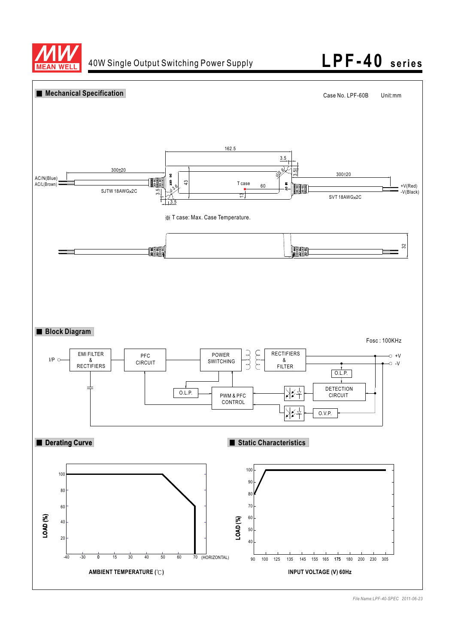



*File Name:LPF-40-SPEC 2011-06-23*